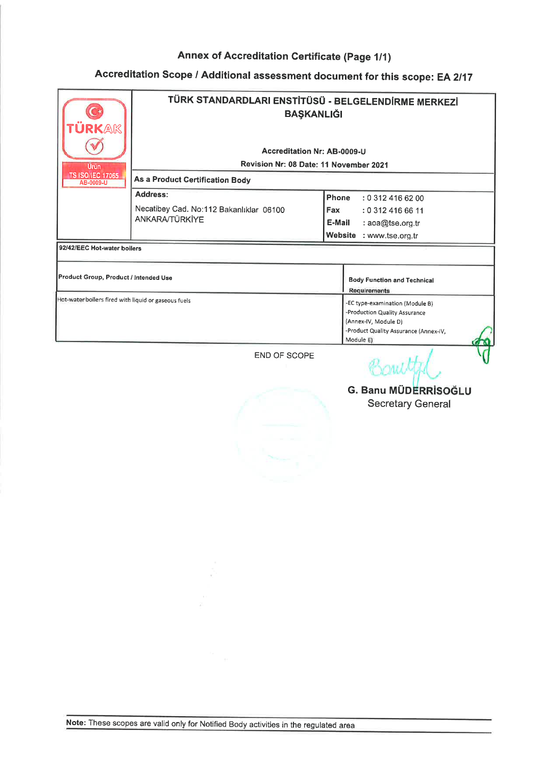# Accreditation Scope / Additional assessment document for this scope: EA 2/17

| RKAK<br><b>Urün</b>                                  | TÜRK STANDARDLARI ENSTİTÜSÜ - BELGELENDİRME MERKEZİ<br><b>BAŞKANLIĞI</b><br><b>Accreditation Nr: AB-0009-U</b><br>Revision Nr: 08 Date: 11 November 2021 |                                                                                                                                                |  |
|------------------------------------------------------|----------------------------------------------------------------------------------------------------------------------------------------------------------|------------------------------------------------------------------------------------------------------------------------------------------------|--|
| <b>TS ISO/IEC 17065</b><br>AB-0009-U                 | <b>As a Product Certification Body</b>                                                                                                                   |                                                                                                                                                |  |
|                                                      | Address:<br>Necatibey Cad. No:112 Bakanlıklar 06100<br>ANKARA/TÜRKİYE                                                                                    | Phone<br>: 0 312 416 62 00<br>Fax<br>: 0 312 416 66 11<br>E-Mail<br>: $a$ oa@tse.org.tr<br>Website<br>: www.tse.org.tr                         |  |
| 92/42/EEC Hot-water boilers                          |                                                                                                                                                          |                                                                                                                                                |  |
| Product Group, Product / Intended Use                |                                                                                                                                                          | <b>Body Function and Technical</b><br><b>Requirements</b>                                                                                      |  |
| Hot-water boilers fired with liquid or gaseous fuels |                                                                                                                                                          | -EC type-examination (Module B)<br>-Production Quality Assurance<br>(Annex-IV, Module D)<br>-Product Quality Assurance (Annex-IV,<br>Module E) |  |
|                                                      | <b>END OF SCOPE</b>                                                                                                                                      | $X^*M$                                                                                                                                         |  |

Bantyn G. Banu MÜDERRİSOĞLI Secretary General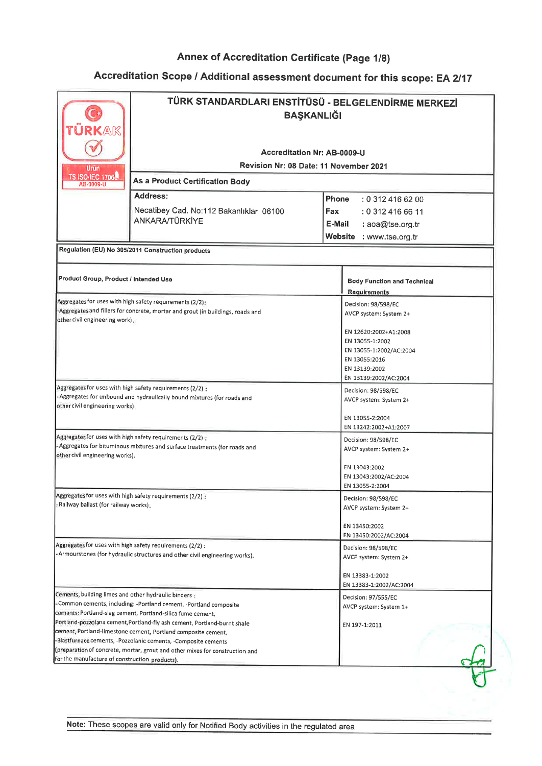| TÜRK STANDARDLARI ENSTİTÜSÜ - BELGELENDİRME MERKEZİ<br><b>BAŞKANLIĞI</b><br>ÜRKAK<br>Accreditation Nr: AB-0009-U<br>Revision Nr: 08 Date: 11 November 2021<br>Urün<br><b>TS ISO/IEC 17065</b><br><b>As a Product Certification Body</b><br>AB-0009-U |                                                                                                                                                                                                                                                                                                                                                                                                                                |                                                                                                                                                                                 |
|------------------------------------------------------------------------------------------------------------------------------------------------------------------------------------------------------------------------------------------------------|--------------------------------------------------------------------------------------------------------------------------------------------------------------------------------------------------------------------------------------------------------------------------------------------------------------------------------------------------------------------------------------------------------------------------------|---------------------------------------------------------------------------------------------------------------------------------------------------------------------------------|
|                                                                                                                                                                                                                                                      | Address:<br>Necatibey Cad. No:112 Bakanlıklar 06100<br><b>ANKARA/TÜRKİYE</b>                                                                                                                                                                                                                                                                                                                                                   | <b>Phone</b><br>: 0.3124166200<br><b>Fax</b><br>: 0 312 416 66 11<br>E-Mail<br>: aoa@tse.org.tr<br>Website : www.tse.org.tr                                                     |
|                                                                                                                                                                                                                                                      | Regulation (EU) No 305/2011 Construction products                                                                                                                                                                                                                                                                                                                                                                              |                                                                                                                                                                                 |
| Product Group, Product / Intended Use                                                                                                                                                                                                                |                                                                                                                                                                                                                                                                                                                                                                                                                                | <b>Body Function and Technical</b><br>Requirements                                                                                                                              |
| other civil engineering work).                                                                                                                                                                                                                       | Aggregates for uses with high safety requirements (2/2):<br>-Aggregates and fillers for concrete, mortar and grout (in buildings, roads and                                                                                                                                                                                                                                                                                    | Decision: 98/598/EC<br>AVCP system: System 2+<br>EN 12620:2002+A1:2008<br>EN 13055-1:2002<br>EN 13055-1:2002/AC:2004<br>EN 13055:2016<br>EN 13139:2002<br>EN 13139:2002/AC:2004 |
| other civil engineering works)                                                                                                                                                                                                                       | Aggregates for uses with high safety requirements (2/2) :<br>- Aggregates for unbound and hydraulically bound mixtures (for roads and                                                                                                                                                                                                                                                                                          | Decision: 98/598/EC<br>AVCP system: System 2+<br>EN 13055-2:2004                                                                                                                |
| other civil engineering works).                                                                                                                                                                                                                      | Aggregates for uses with high safety requirements (2/2):<br>- Aggregates for bituminous mixtures and surface treatments (for roads and                                                                                                                                                                                                                                                                                         | EN 13242:2002+A1:2007<br>Decision: 98/598/EC<br>AVCP system: System 2+<br>EN 13043:2002<br>EN 13043:2002/AC:2004                                                                |
| Aggregates for uses with high safety requirements (2/2):<br>: Railway ballast (for railway works).                                                                                                                                                   |                                                                                                                                                                                                                                                                                                                                                                                                                                | EN 13055-2:2004<br>Decision: 98/598/EC<br>AVCP system: System 2+<br>EN 13450:2002<br>EN 13450:2002/AC:2004                                                                      |
| Aggregates for uses with high safety requirements (2/2) :<br>- Armourstones (for hydraulic structures and other civil engineering works).                                                                                                            |                                                                                                                                                                                                                                                                                                                                                                                                                                | Decision: 98/598/EC<br>AVCP system: System 2+<br>EN 13383-1:2002<br>EN 13383-1:2002/AC:2004                                                                                     |
| Cements, building limes and other hydraulic binders:<br>for the manufacture of construction products).                                                                                                                                               | Common cements, including: -Portland cement, -Portland composite<br>cements: Portland-slag cement, Portland-silica fume cement,<br>Portland-pozzolana cement, Portland-fly ash cement, Portland-burnt shale<br>cement, Portland-limestone cement, Portland composite cement,<br>-Blastfurnace cements, -Pozzolanic cements, -Composite cements<br>(preparation of concrete, mortar, grout and other mixes for construction and | Decision: 97/555/EC<br>AVCP system: System 1+<br>EN 197-1:2011                                                                                                                  |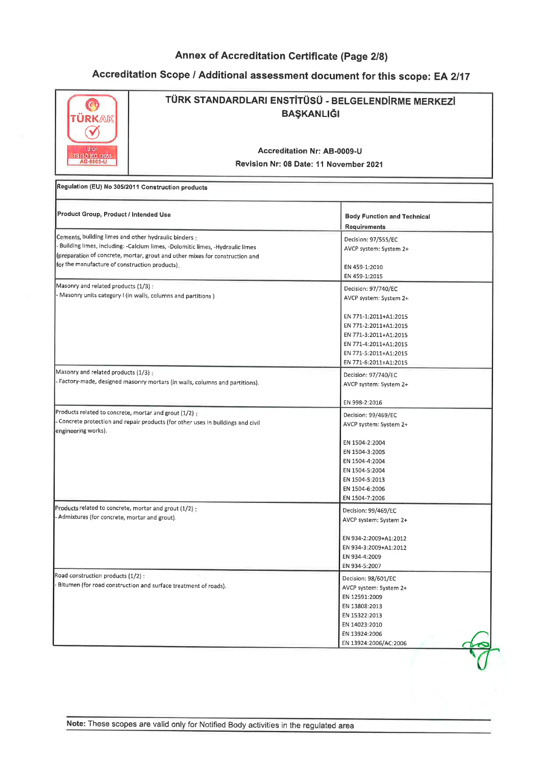## Accreditation Scope / Additional assessment document for this scope: EA 2/17

Ĩ.

| TÜRK STANDARDLARI ENSTİTÜSÜ - BELGELENDİRME MERKEZİ<br><b>BAŞKANLIĞI</b><br>TÜRKAK                       |                                                                                                                                                                |                                                                                                                                                                                              |  |  |  |
|----------------------------------------------------------------------------------------------------------|----------------------------------------------------------------------------------------------------------------------------------------------------------------|----------------------------------------------------------------------------------------------------------------------------------------------------------------------------------------------|--|--|--|
| Urun<br><b>TS ISO/IEC 17065</b><br>AB-0009-U                                                             | <b>Accreditation Nr: AB-0009-U</b><br>Revision Nr: 08 Date: 11 November 2021                                                                                   |                                                                                                                                                                                              |  |  |  |
|                                                                                                          | Regulation (EU) No 305/2011 Construction products                                                                                                              |                                                                                                                                                                                              |  |  |  |
| Product Group, Product / Intended Use                                                                    |                                                                                                                                                                | <b>Body Function and Technical</b><br><b>Requirements</b>                                                                                                                                    |  |  |  |
| Cements, building limes and other hydraulic binders :<br>for the manufacture of construction products).  | -Building limes, including: -Calcium limes, -Dolomitic limes, -Hydraulic limes<br>(preparation of concrete, mortar, grout and other mixes for construction and | Decision: 97/555/EC<br>AVCP system: System 2+<br>EN 459-1:2010                                                                                                                               |  |  |  |
| Masonry and related products (1/3):                                                                      | - Masonry units category I (in walls, columns and partitions )                                                                                                 | EN 459-1:2015<br>Decision: 97/740/EC<br>AVCP system: System 2+                                                                                                                               |  |  |  |
|                                                                                                          |                                                                                                                                                                | EN 771-1:2011+A1:2015<br>EN 771-2:2011+A1:2015<br>EN 771-3:2011+A1:2015<br>EN 771-4:2011+A1:2015<br>EN 771-5:2011+A1:2015<br>EN 771-6:2011+A1:2015                                           |  |  |  |
| Masonry and related products (1/3):                                                                      | Factory-made, designed masonry mortars (in walls, columns and partitions).                                                                                     | Decision: 97/740/EC<br>AVCP system: System 2+                                                                                                                                                |  |  |  |
| Products related to concrete, mortar and grout (1/2) ;<br>engineering works).                            | Concrete protection and repair products (for other uses in buildings and civil                                                                                 | EN 998-2:2016<br>Decision: 99/469/EC<br>AVCP system: System 2+<br>EN 1504-2:2004<br>EN 1504-3:2005<br>EN 1504-4:2004<br>EN 1504-5:2004<br>EN 1504-5:2013<br>EN 1504-6:2006<br>EN 1504-7:2006 |  |  |  |
| Products related to concrete, mortar and grout (1/2) :<br>- Admixtures (for concrete, mortar and grout). |                                                                                                                                                                | Decision: 99/469/EC<br>AVCP system: System 2+<br>EN 934-2:2009+A1:2012<br>EN 934-3:2009+A1:2012<br>EN 934-4:2009<br>EN 934-5:2007                                                            |  |  |  |
| Road construction products (1/2) :                                                                       | Bitumen (for road construction and surface treatment of roads).                                                                                                | Decision: 98/601/EC<br>AVCP system: System 2+<br>EN 12591:2009<br>EN 13808:2013<br>EN 15322:2013<br>EN 14023:2010<br>EN 13924:2006<br>EN 13924:2006/AC:2006                                  |  |  |  |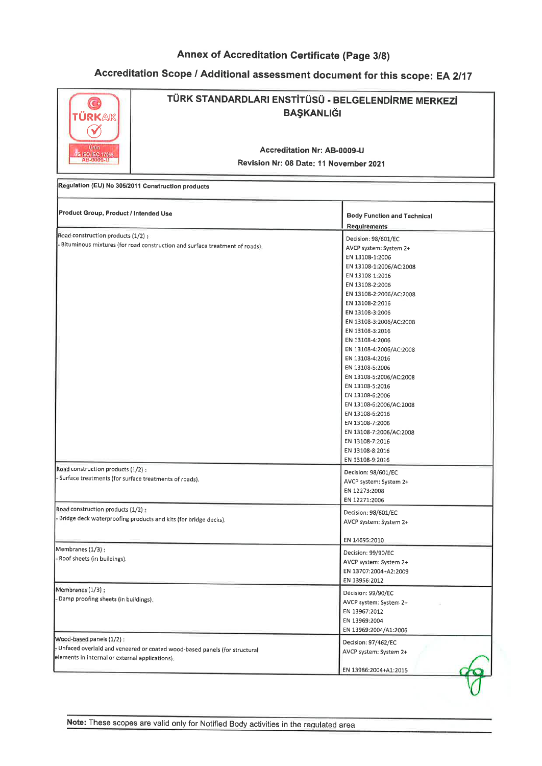| TÜRKAK<br>$\checkmark$<br>Urün<br>S ISO/EC 17085                                             | TÜRK STANDARDLARI ENSTİTÜSÜ - BELGELENDİRME MERKEZİ<br><b>BAŞKANLIĞI</b><br>Accreditation Nr: AB-0009-U<br>Revision Nr: 08 Date: 11 November 2021 |                                                                                                                                                                                                                                                                                                                                                                                                                                                                                                                                                            |  |  |
|----------------------------------------------------------------------------------------------|---------------------------------------------------------------------------------------------------------------------------------------------------|------------------------------------------------------------------------------------------------------------------------------------------------------------------------------------------------------------------------------------------------------------------------------------------------------------------------------------------------------------------------------------------------------------------------------------------------------------------------------------------------------------------------------------------------------------|--|--|
|                                                                                              | Regulation (EU) No 305/2011 Construction products                                                                                                 |                                                                                                                                                                                                                                                                                                                                                                                                                                                                                                                                                            |  |  |
| Product Group, Product / Intended Use                                                        |                                                                                                                                                   | <b>Body Function and Technical</b><br><b>Requirements</b>                                                                                                                                                                                                                                                                                                                                                                                                                                                                                                  |  |  |
| Road construction products (1/2) :                                                           | Bituminous mixtures (for road construction and surface treatment of roads),                                                                       | Decision: 98/601/EC<br>AVCP system: System 2+<br>EN 13108-1:2006<br>EN 13108-1:2006/AC:2008<br>EN 13108-1:2016<br>EN 13108-2:2006<br>EN 13108-2:2006/AC:2008<br>EN 13108-2:2016<br>EN 13108-3:2006<br>EN 13108-3:2006/AC:2008<br>EN 13108-3:2016<br>EN 13108-4:2006<br>EN 13108-4:2006/AC:2008<br>EN 13108-4:2016<br>EN 13108-5:2006<br>EN 13108-5:2006/AC:2008<br>EN 13108-5:2016<br>EN 13108-6:2006<br>EN 13108-6:2006/AC:2008<br>EN 13108-6:2016<br>EN 13108-7:2006<br>EN 13108-7:2006/AC:2008<br>EN 13108-7:2016<br>EN 13108-8:2016<br>EN 13108-9:2016 |  |  |
| Road construction products (1/2):<br>- Surface treatments (for surface treatments of roads). |                                                                                                                                                   | Decision: 98/601/EC<br>AVCP system: System 2+<br>EN 12273:2008<br>EN 12271:2006                                                                                                                                                                                                                                                                                                                                                                                                                                                                            |  |  |
| Road construction products (1/2):                                                            | - Bridge deck waterproofing products and kits (for bridge decks).                                                                                 | Decision: 98/601/EC<br>AVCP system: System 2+                                                                                                                                                                                                                                                                                                                                                                                                                                                                                                              |  |  |
| Membranes (1/3):<br>- Roof sheets (in buildings).                                            |                                                                                                                                                   | EN 14695:2010<br>Decision: 99/90/EC<br>AVCP system: System 2+<br>EN 13707:2004+A2:2009<br>EN 13956:2012                                                                                                                                                                                                                                                                                                                                                                                                                                                    |  |  |
| Membranes (1/3):<br>- Damp proofing sheets (in buildings).                                   |                                                                                                                                                   | Decision: 99/90/EC<br>AVCP system: System 2+<br>EN 13967:2012<br>EN 13969:2004<br>EN 13969:2004/A1:2006                                                                                                                                                                                                                                                                                                                                                                                                                                                    |  |  |
| Wood-based panels (1/2) :<br>elements in internal or external applications).                 | Unfaced overlaid and veneered or coated wood-based panels (for structural                                                                         | Decision: 97/462/EC<br>AVCP system: System 2+                                                                                                                                                                                                                                                                                                                                                                                                                                                                                                              |  |  |
|                                                                                              |                                                                                                                                                   | EN 13986:2004+A1:2015                                                                                                                                                                                                                                                                                                                                                                                                                                                                                                                                      |  |  |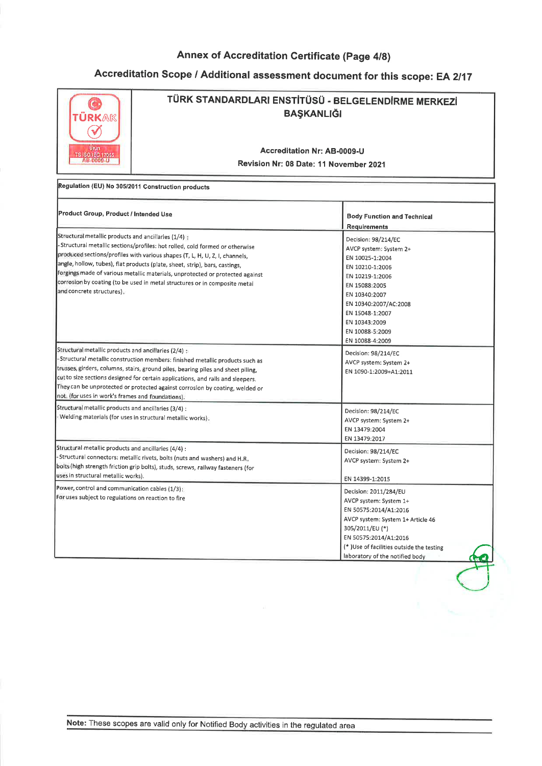## Accreditation Scope / Additional assessment document for this scope: EA 2/17

| <b>ÜRKAK</b><br><b>Urun</b><br>TS ISO/IEC 17065<br>AB-0009-U                                                  | TÜRK STANDARDLARI ENSTİTÜSÜ - BELGELENDİRME MERKEZİ<br><b>BAŞKANLIĞI</b><br><b>Accreditation Nr: AB-0009-U</b><br>Revision Nr: 08 Date: 11 November 2021                                                                                                                                                                                                                                                 |                                                                                                                                                                                                                                             |  |
|---------------------------------------------------------------------------------------------------------------|----------------------------------------------------------------------------------------------------------------------------------------------------------------------------------------------------------------------------------------------------------------------------------------------------------------------------------------------------------------------------------------------------------|---------------------------------------------------------------------------------------------------------------------------------------------------------------------------------------------------------------------------------------------|--|
|                                                                                                               | Regulation (EU) No 305/2011 Construction products                                                                                                                                                                                                                                                                                                                                                        |                                                                                                                                                                                                                                             |  |
| Product Group, Product / Intended Use                                                                         |                                                                                                                                                                                                                                                                                                                                                                                                          | <b>Body Function and Technical</b><br><b>Requirements</b>                                                                                                                                                                                   |  |
| Structural metallic products and ancillaries (1/4) :<br>and concrete structures).                             | Structural metallic sections/profiles: hot rolled, cold formed or otherwise<br>produced sections/profiles with various shapes (T, L, H, U, Z, I, channels,<br>angle, hollow, tubes), flat products (plate, sheet, strip), bars, castings,<br>forgings made of various metallic materials, unprotected or protected against<br>corrosion by coating (to be used in metal structures or in composite metal | Decision: 98/214/EC<br>AVCP system: System 2+<br>EN 10025-1:2004<br>EN 10210-1:2006<br>EN 10219-1:2006<br>EN 15088:2005<br>EN 10340:2007<br>EN 10340:2007/AC:2008<br>EN 15048-1:2007<br>EN 10343:2009<br>EN 10088-5:2009<br>EN 10088-4:2009 |  |
| Structural metallic products and ancillaries (2/4) $\pm$<br>not. (for uses in work's frames and foundations). | Structural metallic construction members: finished metallic products such as<br>trusses, girders, columns, stairs, ground piles, bearing piles and sheet piling,<br>cut to size sections designed for certain applications, and rails and sleepers.<br>They can be unprotected or protected against corrosion by coating, welded or                                                                      | Decision: 98/214/EC<br>AVCP system: System 2+<br>EN 1090-1:2009+A1:2011                                                                                                                                                                     |  |
| Structural metallic products and ancillaries (3/4) :                                                          | -Welding materials (for uses in structural metallic works).                                                                                                                                                                                                                                                                                                                                              | Decision: 98/214/EC<br>AVCP system: System 2+<br>EN 13479:2004<br>EN 13479:2017                                                                                                                                                             |  |
| Structural metallic products and ancillaries (4/4) :<br>uses in structural metallic works).                   | -Structural connectors: metallic rivets, bolts (nuts and washers) and H.R.<br>bolts (high strength friction grip bolts), studs, screws, railway fasteners (for                                                                                                                                                                                                                                           | Decision: 98/214/EC<br>AVCP system: System 2+<br>EN 14399-1:2015                                                                                                                                                                            |  |
| Power, control and communication cables (1/3):<br>For uses subject to regulations on reaction to fire         |                                                                                                                                                                                                                                                                                                                                                                                                          | Decision: 2011/284/EU<br>AVCP system: System 1+<br>EN 50575:2014/A1:2016<br>AVCP system: System 1+ Article 46<br>305/2011/EU (*)<br>EN 50575:2014/A1:2016<br>(*)Use of facilities outside the testing<br>laboratory of the notified body    |  |

Note: These scopes are valid only for Notified Body activities in the regulated area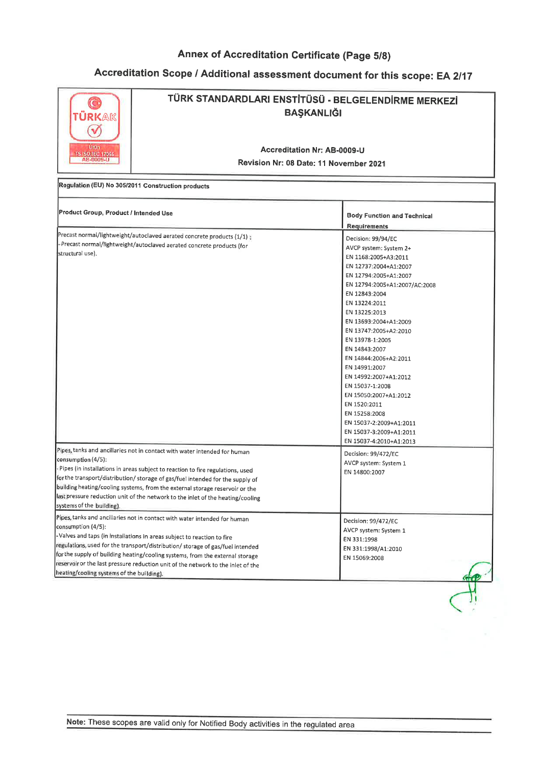| TÜRKAK<br>Urün<br>TS ISO/IEC 17055                                                           | TÜRK STANDARDLARI ENSTİTÜSÜ - BELGELENDİRME MERKEZİ<br><b>BAŞKANLIĞI</b><br>Accreditation Nr: AB-0009-U<br>Revision Nr: 08 Date: 11 November 2021                                                                                                                                                                                                                                                                                                                                                                                                                    |                                                                                                                                                                                                                                                                                                                                                                                                                                                                                                                                                                                                    |  |
|----------------------------------------------------------------------------------------------|----------------------------------------------------------------------------------------------------------------------------------------------------------------------------------------------------------------------------------------------------------------------------------------------------------------------------------------------------------------------------------------------------------------------------------------------------------------------------------------------------------------------------------------------------------------------|----------------------------------------------------------------------------------------------------------------------------------------------------------------------------------------------------------------------------------------------------------------------------------------------------------------------------------------------------------------------------------------------------------------------------------------------------------------------------------------------------------------------------------------------------------------------------------------------------|--|
|                                                                                              | Regulation (EU) No 305/2011 Construction products                                                                                                                                                                                                                                                                                                                                                                                                                                                                                                                    |                                                                                                                                                                                                                                                                                                                                                                                                                                                                                                                                                                                                    |  |
| Product Group, Product / Intended Use                                                        |                                                                                                                                                                                                                                                                                                                                                                                                                                                                                                                                                                      | <b>Body Function and Technical</b><br><b>Requirements</b>                                                                                                                                                                                                                                                                                                                                                                                                                                                                                                                                          |  |
| structural use).<br>consumption (4/5):                                                       | Precast normal/lightweight/autoclaved aerated concrete products (1/1):<br>Precast normal/lightweight/autoclaved aerated concrete products (for<br>Pipes, tanks and ancillaries not in contact with water intended for human<br>- Pipes (in installations in areas subject to reaction to fire regulations, used<br>for the transport/distribution/ storage of gas/fuel intended for the supply of<br>building heating/cooling systems, from the external storage reservoir or the<br>last pressure reduction unit of the network to the inlet of the heating/cooling | Decision: 99/94/EC<br>AVCP system: System 2+<br>EN 1168:2005+A3:2011<br>EN 12737:2004+A1:2007<br>EN 12794:2005+A1:2007<br>EN 12794:2005+A1:2007/AC:2008<br>EN 12843:2004<br>EN 13224:2011<br>EN 13225:2013<br>EN 13693:2004+A1:2009<br>EN 13747:2005+A2:2010<br>EN 13978-1:2005<br>EN 14843:2007<br>EN 14844:2006+A2:2011<br>EN 14991:2007<br>EN 14992:2007+A1:2012<br>EN 15037-1:2008<br>EN 15050:2007+A1:2012<br>EN 1520:2011<br>EN 15258:2008<br>EN 15037-2:2009+A1:2011<br>EN 15037-3:2009+A1:2011<br>EN 15037-4:2010+A1:2013<br>Decision: 99/472/EC<br>AVCP system: System 1<br>EN 14800:2007 |  |
| systems of the building).<br>consumption (4/5):<br>heating/cooling systems of the building). | Pipes, tanks and ancillaries not in contact with water intended for human<br>- Valves and taps (in installations in areas subject to reaction to fire<br>regulations, used for the transport/distribution/ storage of gas/fuel intended<br>for the supply of building heating/cooling systems, from the external storage<br>reservoir or the last pressure reduction unit of the network to the inlet of the                                                                                                                                                         | Decision: 99/472/EC<br>AVCP system: System 1<br>EN 331:1998<br>EN 331:1998/A1:2010<br>EN 15069:2008                                                                                                                                                                                                                                                                                                                                                                                                                                                                                                |  |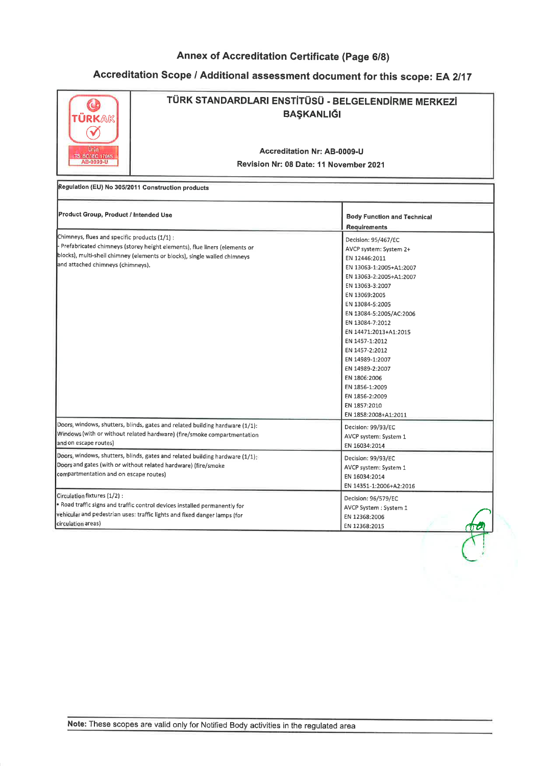| RKAK<br>Urün<br>TS ISO/IEC 17065                                                                                                                                                 | TÜRK STANDARDLARI ENSTİTÜSÜ - BELGELENDİRME MERKEZİ<br><b>BAŞKANLIĞI</b><br>Accreditation Nr: AB-0009-U<br>Revision Nr: 08 Date: 11 November 2021<br>Regulation (EU) No 305/2011 Construction products |                                                                                                                                                                                                                                                                                                                                                                                                                          |  |
|----------------------------------------------------------------------------------------------------------------------------------------------------------------------------------|--------------------------------------------------------------------------------------------------------------------------------------------------------------------------------------------------------|--------------------------------------------------------------------------------------------------------------------------------------------------------------------------------------------------------------------------------------------------------------------------------------------------------------------------------------------------------------------------------------------------------------------------|--|
| Product Group, Product / Intended Use                                                                                                                                            |                                                                                                                                                                                                        | <b>Body Function and Technical</b><br><b>Requirements</b>                                                                                                                                                                                                                                                                                                                                                                |  |
| Chimneys, flues and specific products (1/1) :<br>and attached chimneys (chimneys).                                                                                               | Prefabricated chimneys (storey height elements), flue liners (elements or<br>blocks), multi-shell chimney (elements or blocks), single walled chimneys                                                 | Decision: 95/467/EC<br>AVCP system: System 2+<br>EN 12446:2011<br>EN 13063-1:2005+A1:2007<br>EN 13063-2:2005+A1:2007<br>EN 13063-3:2007<br>EN 13069:2005<br>EN 13084-5:2005<br>EN 13084-5:2005/AC:2006<br>EN 13084-7:2012<br>EN 14471:2013+A1:2015<br>EN 1457-1:2012<br>EN 1457-2:2012<br>EN 14989-1:2007<br>EN 14989-2:2007<br>EN 1806:2006<br>EN 1856-1:2009<br>EN 1856-2:2009<br>EN 1857:2010<br>EN 1858:2008+A1:2011 |  |
| Doors, windows, shutters, blinds, gates and related building hardware (1/1):<br>Windows (with or without related hardware) (fire/smoke compartmentation<br>and on escape routes) |                                                                                                                                                                                                        | Decision: 99/93/EC<br>AVCP system: System 1<br>EN 16034:2014                                                                                                                                                                                                                                                                                                                                                             |  |
| compartmentation and on escape routes)                                                                                                                                           | Doors, windows, shutters, blinds, gates and related building hardware (1/1):<br>Doors and gates (with or without related hardware) (fire/smoke                                                         | Decision: 99/93/EC<br>AVCP system: System 1<br>EN 16034:2014<br>EN 14351-1:2006+A2:2016                                                                                                                                                                                                                                                                                                                                  |  |
| Circulation fixtures (1/2) :<br>circulation areas)                                                                                                                               | . Road traffic signs and traffic control devices installed permanently for<br>vehicular and pedestrian uses: traffic lights and fixed danger lamps (for                                                | Decision: 96/579/EC<br>AVCP System : System 1<br>EN 12368:2006<br>EN 12368:2015<br>U O                                                                                                                                                                                                                                                                                                                                   |  |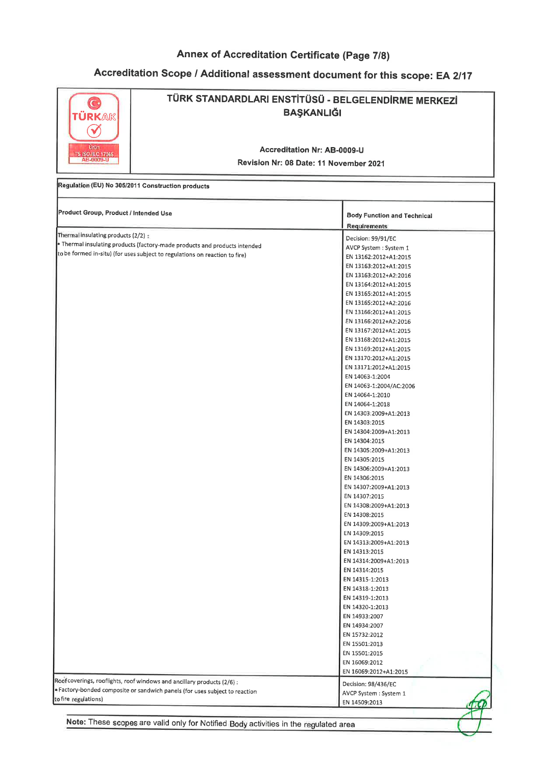# Accreditation Scope / Additional assessment document for this scope: EA 2/17

Ï

| TÜRKAK<br>V<br>Urun                               | TÜRK STANDARDLARI ENSTİTÜSÜ - BELGELENDİRME MERKEZİ<br><b>BAŞKANLIĞI</b><br><b>Accreditation Nr: AB-0009-U</b>                                            |                                                                                                                                                                                                                                                                                                                                                                                                                                                                                                                                                                                                                                                                                                                                                                                                                                                                                                                                                                                                                                                                            |  |  |  |
|---------------------------------------------------|-----------------------------------------------------------------------------------------------------------------------------------------------------------|----------------------------------------------------------------------------------------------------------------------------------------------------------------------------------------------------------------------------------------------------------------------------------------------------------------------------------------------------------------------------------------------------------------------------------------------------------------------------------------------------------------------------------------------------------------------------------------------------------------------------------------------------------------------------------------------------------------------------------------------------------------------------------------------------------------------------------------------------------------------------------------------------------------------------------------------------------------------------------------------------------------------------------------------------------------------------|--|--|--|
| <b>TS ISO/IEC 17065</b><br>AB-0009-U              | Revision Nr: 08 Date: 11 November 2021                                                                                                                    |                                                                                                                                                                                                                                                                                                                                                                                                                                                                                                                                                                                                                                                                                                                                                                                                                                                                                                                                                                                                                                                                            |  |  |  |
| Regulation (EU) No 305/2011 Construction products |                                                                                                                                                           |                                                                                                                                                                                                                                                                                                                                                                                                                                                                                                                                                                                                                                                                                                                                                                                                                                                                                                                                                                                                                                                                            |  |  |  |
| Product Group, Product / Intended Use             |                                                                                                                                                           | <b>Body Function and Technical</b><br><b>Requirements</b>                                                                                                                                                                                                                                                                                                                                                                                                                                                                                                                                                                                                                                                                                                                                                                                                                                                                                                                                                                                                                  |  |  |  |
| Thermal insulating products (2/2) :               | · Thermal insulating products (factory-made products and products intended<br>to be formed in-situ) (for uses subject to regulations on reaction to fire) | Decision: 99/91/EC<br>AVCP System : System 1<br>EN 13162:2012+A1:2015<br>EN 13163:2012+A1:2015<br>EN 13163:2012+A2:2016<br>EN 13164:2012+A1:2015<br>EN 13165:2012+A1:2015<br>EN 13165:2012+A2:2016<br>EN 13166:2012+A1:2015<br>EN 13166:2012+A2:2016<br>EN 13167:2012+A1:2015<br>EN 13168:2012+A1:2015<br>EN 13169:2012+A1:2015<br>EN 13170:2012+A1:2015<br>EN 13171:2012+A1:2015<br>EN 14063-1:2004<br>EN 14063-1:2004/AC:2006<br>EN 14064-1:2010<br>EN 14064-1:2018<br>EN 14303:2009+A1:2013<br>EN 14303:2015<br>EN 14304:2009+A1:2013<br>EN 14304:2015<br>EN 14305:2009+A1:2013<br>EN 14305:2015<br>EN 14306:2009+A1:2013<br>EN 14306:2015<br>EN 14307:2009+A1:2013<br>EN 14307:2015<br>EN 14308:2009+A1:2013<br>EN 14308:2015<br>EN 14309:2009+A1:2013<br>EN 14309:2015<br>EN 14313:2009+A1:2013<br>EN 14313:2015<br>EN 14314:2009+A1:2013<br>EN 14314:2015<br>EN 14315-1:2013<br>EN 14318-1:2013<br>EN 14319-1:2013<br>EN 14320-1:2013<br>EN 14933:2007<br>EN 14934:2007<br>EN 15732:2012<br>EN 15501:2013<br>EN 15501:2015<br>EN 16069:2012<br>EN 16069:2012+A1:2015 |  |  |  |
| to fire regulations)                              | Roof coverings, rooflights, roof windows and ancillary products (2/6) :<br>Factory-bonded composite or sandwich panels (for uses subject to reaction      | Decision: 98/436/EC<br>AVCP System : System 1<br>EN 14509:2013                                                                                                                                                                                                                                                                                                                                                                                                                                                                                                                                                                                                                                                                                                                                                                                                                                                                                                                                                                                                             |  |  |  |

Note: These scopes are valid only for Notified Body activities in the regulated area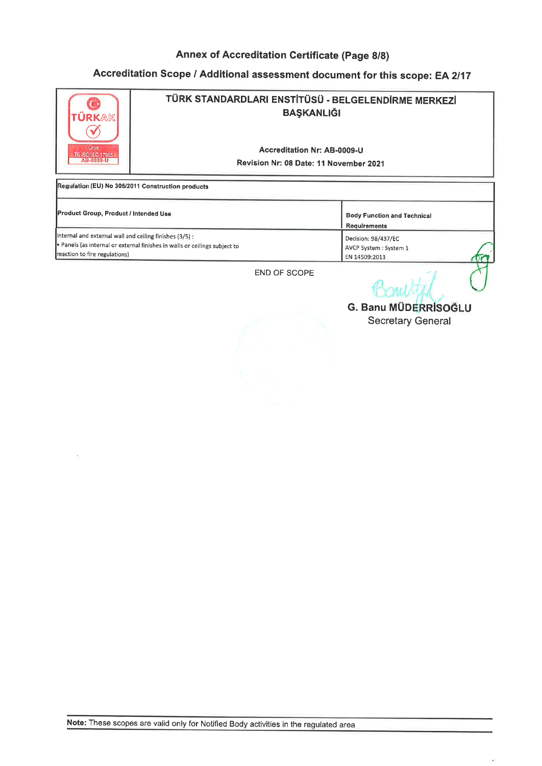# Accreditation Scope / Additional assessment document for this scope: EA 2/17



| <b>Product Group, Product / Intended Use</b>                               | <b>Body Function and Technical</b> |
|----------------------------------------------------------------------------|------------------------------------|
|                                                                            | Requirements                       |
| Internal and external wall and ceiling finishes (3/5) :                    | Decision: 98/437/EC                |
| . Panels (as internal or external finishes in walls or ceilings subject to | AVCP System : System 1             |
| reaction to fire regulations)                                              | EN 14509:2013                      |
|                                                                            |                                    |

END OF SCOPE

Bouild **G. Banu MÜDERRISOĞLU** 

Secretary General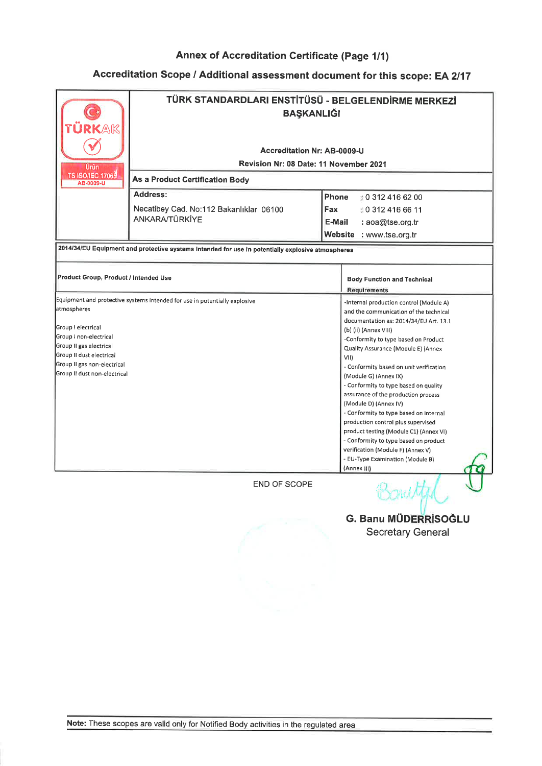| <b>KAK</b>                                          | TÜRK STANDARDLARI ENSTİTÜSÜ - BELGELENDİRME MERKEZİ<br><b>BAŞKANLIĞI</b>                          |                                                                              |  |  |
|-----------------------------------------------------|---------------------------------------------------------------------------------------------------|------------------------------------------------------------------------------|--|--|
|                                                     |                                                                                                   |                                                                              |  |  |
|                                                     | <b>Accreditation Nr: AB-0009-U</b>                                                                |                                                                              |  |  |
| Urün                                                | Revision Nr: 08 Date: 11 November 2021                                                            |                                                                              |  |  |
| <b>TS ISO/IEC 17065</b><br>AB-0009-U                | As a Product Certification Body                                                                   |                                                                              |  |  |
|                                                     | <b>Address:</b>                                                                                   | Phone<br>0 312 416 62 00                                                     |  |  |
|                                                     | Necatibey Cad. No:112 Bakanlıklar 06100                                                           | Fax<br>: 0 312 416 66 11                                                     |  |  |
|                                                     | ANKARA/TÜRKİYE                                                                                    | E-Mail<br>: aoa@tse.org.tr                                                   |  |  |
|                                                     |                                                                                                   | Website<br>: www.tse.org.tr                                                  |  |  |
|                                                     | 2014/34/EU Equipment and protective systems intended for use in potentially explosive atmospheres |                                                                              |  |  |
|                                                     |                                                                                                   |                                                                              |  |  |
| Product Group, Product / Intended Use               |                                                                                                   | <b>Body Function and Technical</b>                                           |  |  |
|                                                     |                                                                                                   | <b>Requirements</b>                                                          |  |  |
|                                                     | Equipment and protective systems intended for use in potentially explosive                        | -Internal production control (Module A)                                      |  |  |
| atmospheres                                         |                                                                                                   | and the communication of the technical                                       |  |  |
|                                                     |                                                                                                   | documentation as: 2014/34/EU Art. 13.1                                       |  |  |
| Group I electrical                                  |                                                                                                   | (b) (ii) (Annex VIII)                                                        |  |  |
| Group I non-electrical                              |                                                                                                   | -Conformity to type based on Product                                         |  |  |
| Group II gas electrical<br>Group II dust electrical |                                                                                                   | Quality Assurance (Module E) (Annex                                          |  |  |
| Group II gas non-electrical                         |                                                                                                   | VII)<br>- Conformity based on unit verification                              |  |  |
| Group II dust non-electrical                        |                                                                                                   | (Module G) (Annex IX)                                                        |  |  |
|                                                     |                                                                                                   | - Conformity to type based on quality                                        |  |  |
|                                                     |                                                                                                   | assurance of the production process                                          |  |  |
|                                                     |                                                                                                   | (Module D) (Annex IV)                                                        |  |  |
|                                                     |                                                                                                   | - Conformity to type based on internal                                       |  |  |
|                                                     |                                                                                                   | production control plus supervised<br>product testing (Module C1) (Annex VI) |  |  |
|                                                     |                                                                                                   | - Conformity to type based on product                                        |  |  |
|                                                     |                                                                                                   | verification (Module F) (Annex V)                                            |  |  |
|                                                     |                                                                                                   | - EU-Type Examination (Module B)                                             |  |  |
|                                                     |                                                                                                   | (Annex III)                                                                  |  |  |
|                                                     | <b>END OF SCOPE</b>                                                                               |                                                                              |  |  |
|                                                     |                                                                                                   | <b>G. Banu MÜDERRİSOĞLU</b><br><b>Secretary General</b>                      |  |  |
|                                                     |                                                                                                   |                                                                              |  |  |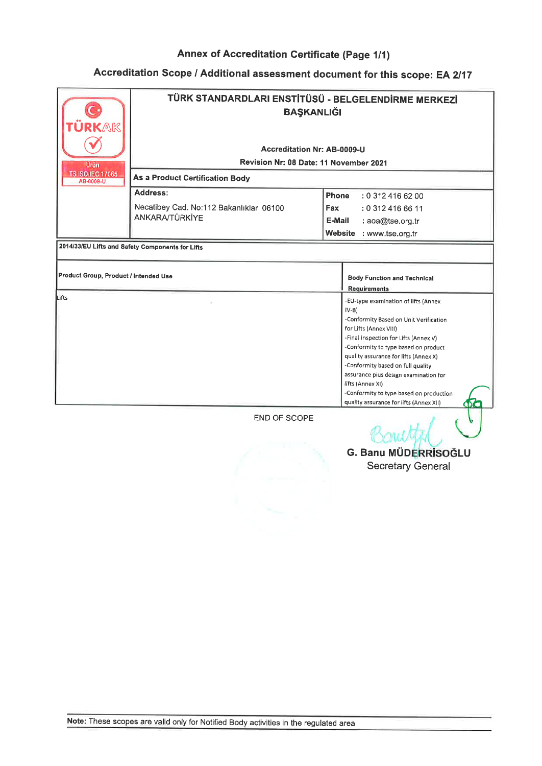## Accreditation Scope / Additional assessment document for this scope: EA 2/17

| ÜRKAK                                 | TÜRK STANDARDLARI ENSTİTÜSÜ - BELGELENDİRME MERKEZİ<br><b>BAŞKANLIĞI</b> |                                                                                                                                                                                                                                                                                                                                                                                                                                                    |  |
|---------------------------------------|--------------------------------------------------------------------------|----------------------------------------------------------------------------------------------------------------------------------------------------------------------------------------------------------------------------------------------------------------------------------------------------------------------------------------------------------------------------------------------------------------------------------------------------|--|
|                                       | Accreditation Nr: AB-0009-U                                              |                                                                                                                                                                                                                                                                                                                                                                                                                                                    |  |
| Urün                                  | Revision Nr: 08 Date: 11 November 2021                                   |                                                                                                                                                                                                                                                                                                                                                                                                                                                    |  |
| <b>TS ISO/IEC 17065</b><br>AB-0009-U  | <b>As a Product Certification Body</b>                                   |                                                                                                                                                                                                                                                                                                                                                                                                                                                    |  |
|                                       | Address:                                                                 | <b>Phone</b><br>: 0.3124166200                                                                                                                                                                                                                                                                                                                                                                                                                     |  |
|                                       | Necatibey Cad. No:112 Bakanlıklar 06100                                  | Fax<br>: 0 312 416 66 11                                                                                                                                                                                                                                                                                                                                                                                                                           |  |
|                                       | <b>ANKARA/TÜRKİYE</b>                                                    | E-Mail<br>: aoa@tse.org.tr                                                                                                                                                                                                                                                                                                                                                                                                                         |  |
|                                       |                                                                          | Website : www.tse.org.tr                                                                                                                                                                                                                                                                                                                                                                                                                           |  |
|                                       | 2014/33/EU Lifts and Safety Components for Lifts                         |                                                                                                                                                                                                                                                                                                                                                                                                                                                    |  |
| Product Group, Product / Intended Use |                                                                          | <b>Body Function and Technical</b><br><b>Requirements</b>                                                                                                                                                                                                                                                                                                                                                                                          |  |
| Lifts                                 |                                                                          | -EU-type examination of lifts (Annex<br>$IV-B$<br>-Conformity Based on Unit Verification<br>for Lifts (Annex VIII)<br>-Final Inspection for Lifts (Annex V)<br>-Conformity to type based on product<br>quality assurance for lifts (Annex X)<br>-Conformity based on full quality<br>assurance plus design examination for<br>lifts (Annex XI)<br>-Conformity to type based on production<br>quality assurance for lifts (Annex XII)<br><b>CDC</b> |  |
|                                       | <b>END OF SCOPE</b>                                                      |                                                                                                                                                                                                                                                                                                                                                                                                                                                    |  |



Banu G. Banu MÜDERRİSOĞLU Secretary General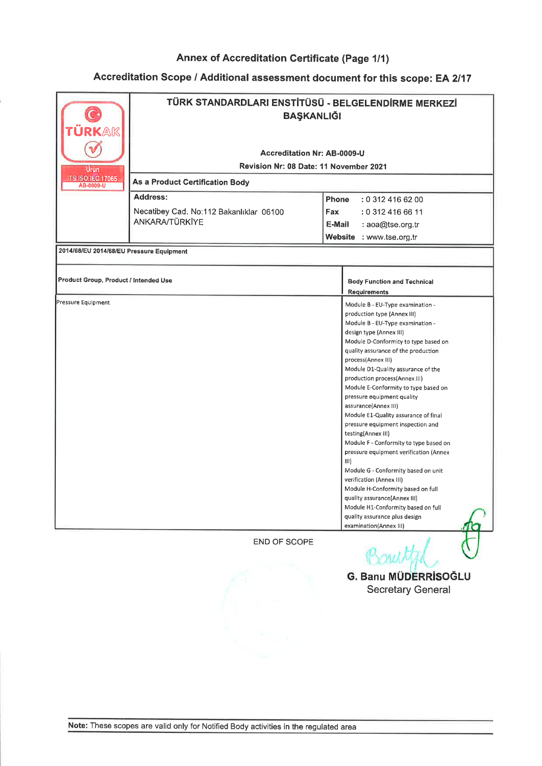| TÜRK STANDARDLARI ENSTİTÜSÜ - BELGELENDİRME MERKEZİ<br><b>BAŞKANLIĞI</b> |                                                                                     |                                              |                                                                                                                                                                                                                                                                                                                                                                                                                                                                                                                                                                                                                                                                                                                                                                                                                                                                                                                                                                                                                                           |
|--------------------------------------------------------------------------|-------------------------------------------------------------------------------------|----------------------------------------------|-------------------------------------------------------------------------------------------------------------------------------------------------------------------------------------------------------------------------------------------------------------------------------------------------------------------------------------------------------------------------------------------------------------------------------------------------------------------------------------------------------------------------------------------------------------------------------------------------------------------------------------------------------------------------------------------------------------------------------------------------------------------------------------------------------------------------------------------------------------------------------------------------------------------------------------------------------------------------------------------------------------------------------------------|
|                                                                          |                                                                                     |                                              |                                                                                                                                                                                                                                                                                                                                                                                                                                                                                                                                                                                                                                                                                                                                                                                                                                                                                                                                                                                                                                           |
|                                                                          |                                                                                     |                                              |                                                                                                                                                                                                                                                                                                                                                                                                                                                                                                                                                                                                                                                                                                                                                                                                                                                                                                                                                                                                                                           |
| <b>As a Product Certification Body</b>                                   |                                                                                     |                                              |                                                                                                                                                                                                                                                                                                                                                                                                                                                                                                                                                                                                                                                                                                                                                                                                                                                                                                                                                                                                                                           |
| Address:                                                                 | Phone                                                                               |                                              |                                                                                                                                                                                                                                                                                                                                                                                                                                                                                                                                                                                                                                                                                                                                                                                                                                                                                                                                                                                                                                           |
|                                                                          | <b>Fax</b>                                                                          |                                              |                                                                                                                                                                                                                                                                                                                                                                                                                                                                                                                                                                                                                                                                                                                                                                                                                                                                                                                                                                                                                                           |
| <b>ANKARA/TÜRKİYE</b>                                                    |                                                                                     |                                              |                                                                                                                                                                                                                                                                                                                                                                                                                                                                                                                                                                                                                                                                                                                                                                                                                                                                                                                                                                                                                                           |
|                                                                          |                                                                                     |                                              |                                                                                                                                                                                                                                                                                                                                                                                                                                                                                                                                                                                                                                                                                                                                                                                                                                                                                                                                                                                                                                           |
|                                                                          |                                                                                     |                                              |                                                                                                                                                                                                                                                                                                                                                                                                                                                                                                                                                                                                                                                                                                                                                                                                                                                                                                                                                                                                                                           |
|                                                                          |                                                                                     |                                              |                                                                                                                                                                                                                                                                                                                                                                                                                                                                                                                                                                                                                                                                                                                                                                                                                                                                                                                                                                                                                                           |
| Product Group, Product / Intended Use                                    |                                                                                     |                                              |                                                                                                                                                                                                                                                                                                                                                                                                                                                                                                                                                                                                                                                                                                                                                                                                                                                                                                                                                                                                                                           |
|                                                                          |                                                                                     |                                              |                                                                                                                                                                                                                                                                                                                                                                                                                                                                                                                                                                                                                                                                                                                                                                                                                                                                                                                                                                                                                                           |
|                                                                          | Necatibey Cad. No:112 Bakanlıklar 06100<br>2014/68/EU 2014/68/EU Pressure Equipment | <b>Accreditation Nr: AB-0009-U</b><br>E-Mail | Revision Nr: 08 Date: 11 November 2021<br>: 0 312 416 62 00<br>: 0 312 416 66 11<br>: aoa@tse.org.tr<br>Website : www.tse.org.tr<br><b>Body Function and Technical</b><br><b>Requirements</b><br>Module B - EU-Type examination -<br>production type (Annex III)<br>Module B - EU-Type examination -<br>design type (Annex III)<br>Module D-Conformity to type based on<br>quality assurance of the production<br>process(Annex III)<br>Module D1-Quality assurance of the<br>production process(Annex III)<br>Module E-Conformity to type based on<br>pressure equipment quality<br>assurance(Annex III)<br>Module E1-Quality assurance of final<br>pressure equipment inspection and<br>testing(Annex III)<br>Module F - Conformity to type based on<br>pressure equipment verification (Annex<br>Module G - Conformity based on unit<br>verification (Annex III)<br>Module H-Conformity based on full<br>quality assurance(Annex III)<br>Module H1-Conformity based on full<br>quality assurance plus design<br>examination(Annex III) |

Ponyttil  $\cup$ 

G. Banu MÜDERRİSOĞLL Secretary General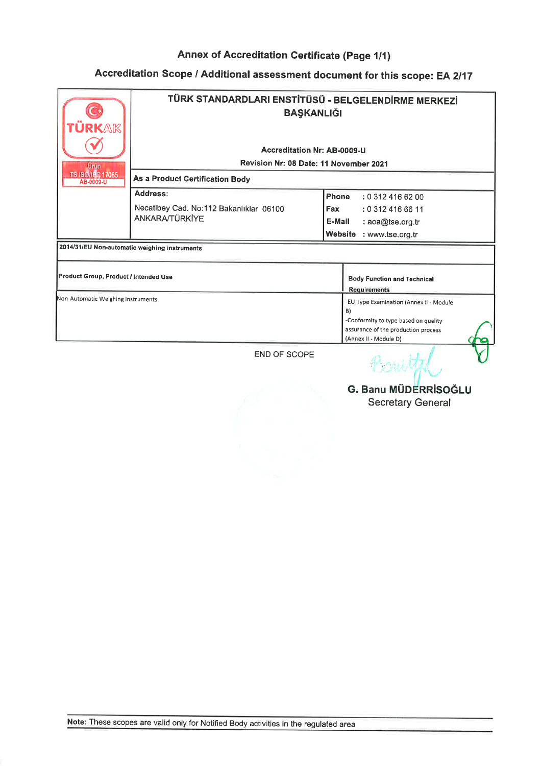## Accreditation Scope / Additional assessment document for this scope: EA 2/17

| <b>JRKAK</b><br>Urun<br><b>TS ISO/IEC 17065</b> | TÜRK STANDARDLARI ENSTİTÜSÜ - BELGELENDİRME MERKEZİ<br><b>BAŞKANLIĞI</b><br><b>Accreditation Nr: AB-0009-U</b><br>Revision Nr: 08 Date: 11 November 2021 |                                                                                                                                                       |  |
|-------------------------------------------------|----------------------------------------------------------------------------------------------------------------------------------------------------------|-------------------------------------------------------------------------------------------------------------------------------------------------------|--|
| As a Product Certification Body<br>AB-0009-U    |                                                                                                                                                          |                                                                                                                                                       |  |
|                                                 | Address:                                                                                                                                                 | Phone<br>: 0 312 416 62 00                                                                                                                            |  |
|                                                 | Necatibey Cad. No:112 Bakanlıklar 06100                                                                                                                  | Fax<br>: 0 312 416 66 11                                                                                                                              |  |
|                                                 | <b>ANKARA/TÜRKİYE</b>                                                                                                                                    | E-Mail<br>: aoa@tse.org.tr                                                                                                                            |  |
|                                                 |                                                                                                                                                          | <b>Website</b><br>: www.tse.org.tr                                                                                                                    |  |
| 2014/31/EU Non-automatic weighing instruments   |                                                                                                                                                          |                                                                                                                                                       |  |
| Product Group, Product / Intended Use           |                                                                                                                                                          | <b>Body Function and Technical</b><br><b>Requirements</b>                                                                                             |  |
| Non-Automatic Weighing Instruments              |                                                                                                                                                          | -EU Type Examination (Annex II - Module<br>B)<br>-Conformity to type based on quality<br>assurance of the production process<br>(Annex II - Module D) |  |
|                                                 | <b>END OF SCOPE</b>                                                                                                                                      | <b>Contraction</b>                                                                                                                                    |  |

Secretary General Ii G. Banu MÜDERRİSOĞLI

 $C$ ,OAU $\mathcal{M}_{\mathcal{H}}$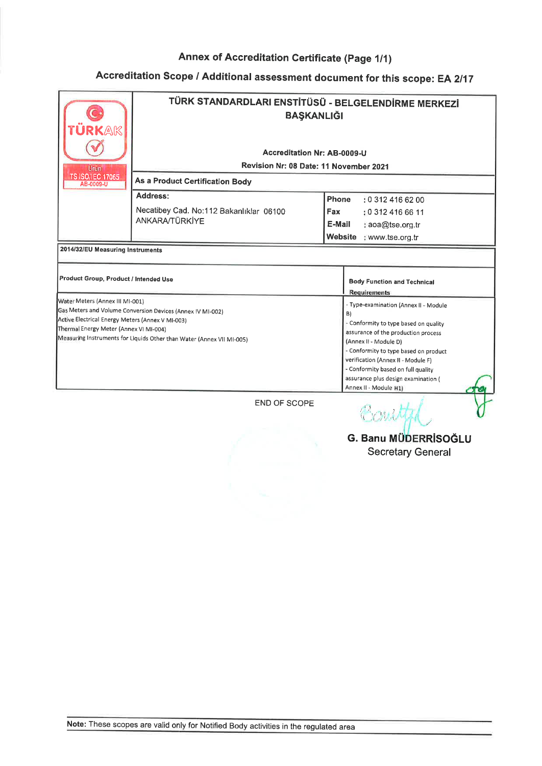| <b>JRKAK</b>                                                                               | TÜRK STANDARDLARI ENSTİTÜSÜ - BELGELENDİRME MERKEZİ<br><b>BAŞKANLIĞI</b> |                                                              |  |  |
|--------------------------------------------------------------------------------------------|--------------------------------------------------------------------------|--------------------------------------------------------------|--|--|
|                                                                                            | Accreditation Nr: AB-0009-U                                              |                                                              |  |  |
|                                                                                            | Revision Nr: 08 Date: 11 November 2021                                   |                                                              |  |  |
| Urun<br><b>TS ISO/IEC 17065</b>                                                            |                                                                          |                                                              |  |  |
| AB-0009-U                                                                                  | As a Product Certification Body                                          |                                                              |  |  |
|                                                                                            | Address:                                                                 | Phone<br>: 0 312 416 62 00                                   |  |  |
|                                                                                            | Necatibey Cad. No:112 Bakanlıklar 06100                                  | <b>Fax</b><br>: 0 312 416 66 11                              |  |  |
|                                                                                            | <b>ANKARA/TÜRKİYE</b>                                                    | E-Mail<br>: aoa@tse.org.tr                                   |  |  |
|                                                                                            |                                                                          | Website : www.tse.org.tr                                     |  |  |
| 2014/32/EU Measuring Instruments                                                           |                                                                          |                                                              |  |  |
|                                                                                            |                                                                          |                                                              |  |  |
| Product Group, Product / Intended Use                                                      |                                                                          | <b>Body Function and Technical</b><br><b>Requirements</b>    |  |  |
| Water Meters (Annex III MI-001)                                                            |                                                                          | - Type-examination (Annex II - Module                        |  |  |
| Gas Meters and Volume Conversion Devices (Annex IV MI-002)                                 |                                                                          | B)                                                           |  |  |
| Active Electrical Energy Meters (Annex V MI-003)<br>Thermal Energy Meter (Annex VI MI-004) |                                                                          | - Conformity to type based on quality                        |  |  |
| Measuring Instruments for Liquids Other than Water (Annex VII MI-005)                      |                                                                          | assurance of the production process<br>(Annex II - Module D) |  |  |
|                                                                                            |                                                                          | - Conformity to type based on product                        |  |  |
|                                                                                            |                                                                          | verification (Annex II - Module F)                           |  |  |
|                                                                                            |                                                                          | - Conformity based on full quality                           |  |  |
|                                                                                            |                                                                          | assurance plus design examination (                          |  |  |
|                                                                                            |                                                                          | Annex II - Module H1)                                        |  |  |
|                                                                                            | END OF SCOPE                                                             |                                                              |  |  |

l i

G. Banu MüDERRısoĞLU Secretary General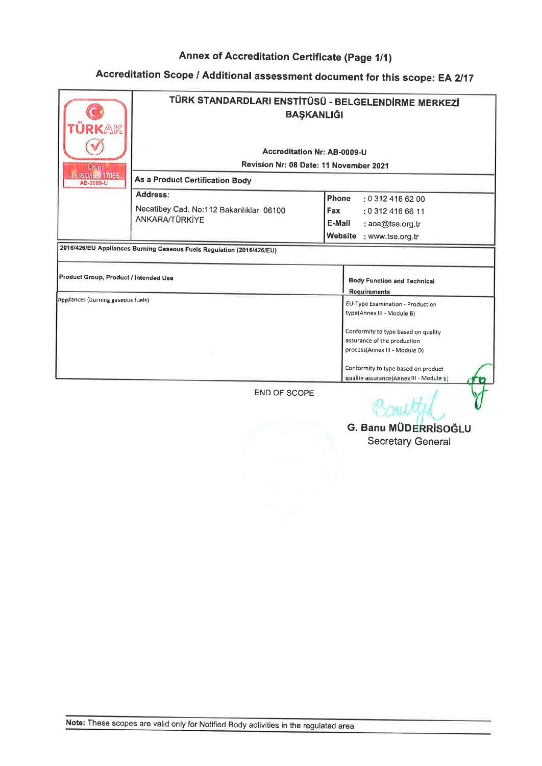## Accreditation Scope / Additional assessment document for this scope: EA 2/17

| <b>RKAK</b>                                                           | TÜRK STANDARDLARI ENSTİTÜSÜ - BELGELENDİRME MERKEZİ<br><b>BAŞKANLIĞI</b>                                 |                                                                                |  |
|-----------------------------------------------------------------------|----------------------------------------------------------------------------------------------------------|--------------------------------------------------------------------------------|--|
|                                                                       | Accreditation Nr: AB-0009-U<br>Revision Nr: 08 Date: 11 November 2021<br>As a Product Certification Body |                                                                                |  |
| Urun.                                                                 |                                                                                                          |                                                                                |  |
| <b>TS ISO/ILE 17065</b><br>AB-0009-U                                  |                                                                                                          |                                                                                |  |
|                                                                       | Address:                                                                                                 | Phone<br>: 0.3124166200                                                        |  |
|                                                                       | Necatibey Cad. No:112 Bakanlıklar 06100                                                                  | <b>Fax</b><br>: 0 312 416 66 11                                                |  |
|                                                                       | ANKARA/TÜRKİYE                                                                                           | E-Mail<br>: aoa@tse.org.tr                                                     |  |
|                                                                       |                                                                                                          | Website<br>: www.tse.org.tr                                                    |  |
| 2016/426/EU Appliances Burning Gaseous Fuels Regulation (2016/426/EU) |                                                                                                          |                                                                                |  |
| Product Group, Product / Intended Use                                 |                                                                                                          | <b>Body Function and Technical</b><br><b>Requirements</b>                      |  |
| Appliances (burning gaseous fuels)                                    |                                                                                                          | EU-Type Examination - Production<br>type(Annex III - Module B)                 |  |
|                                                                       |                                                                                                          | Conformity to type based on quality                                            |  |
|                                                                       |                                                                                                          | assurance of the production<br>process(Annex III - Module D)                   |  |
|                                                                       |                                                                                                          | Conformity to type based on product<br>quality assurance(Annex III - Module E) |  |
|                                                                       |                                                                                                          |                                                                                |  |

END OF SCOPE

 $\sqrt{a}$ Bonutted. G. Banu MÜDERRİSOĞLU

Secretary General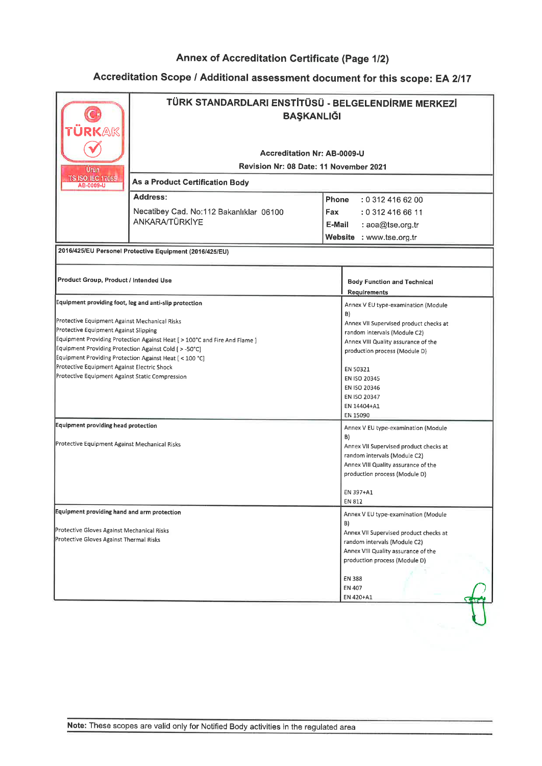| <b>Accreditation Nr: AB-0009-U</b><br><b>Revision Nr: 08 Date: 11 November 2021</b><br>Urün<br><b>TS ISO/IEC 17065</b><br>As a Product Certification Body<br>AB-0009-U<br>Address:<br>Phone<br>: 0 312 416 62 00<br>Necatibey Cad. No:112 Bakanlıklar 06100<br>Fax<br>: 0 312 416 66 11<br>ANKARA/TÜRKİYE<br>E-Mail<br>: aoa@tse.org.tr<br>Website : www.tse.org.tr<br>2016/425/EU Personel Protective Equipment (2016/425/EU)<br>Product Group, Product / Intended Use<br><b>Body Function and Technical</b><br><b>Requirements</b><br>Equipment providing foot, leg and anti-slip protection<br>Annex V EU type-examination (Module<br>B)<br>Annex VII Supervised product checks at<br>random intervals (Module C2)<br>Annex VIII Quality assurance of the<br>production process (Module D)<br>EN 50321<br>EN ISO 20345<br>EN ISO 20346<br>EN ISO 20347<br>EN 14404+A1<br>EN 15090<br>Annex V EU type-examination (Module<br>B)<br>Annex VII Supervised product checks at<br>random intervals (Module C2)<br>Annex VIII Quality assurance of the<br>production process (Module D)<br>EN 397+A1<br>EN 812<br>Annex V EU type-examination (Module<br>B)<br>Annex VII Supervised product checks at<br>random intervals (Module C2)<br>Annex VIII Quality assurance of the<br>production process (Module D)<br>EN 388<br>EN 407 | ÜRKAK | TÜRK STANDARDLARI ENSTİTÜSÜ - BELGELENDİRME MERKEZİ<br><b>BAŞKANLIĞI</b> |  |  |  |
|-------------------------------------------------------------------------------------------------------------------------------------------------------------------------------------------------------------------------------------------------------------------------------------------------------------------------------------------------------------------------------------------------------------------------------------------------------------------------------------------------------------------------------------------------------------------------------------------------------------------------------------------------------------------------------------------------------------------------------------------------------------------------------------------------------------------------------------------------------------------------------------------------------------------------------------------------------------------------------------------------------------------------------------------------------------------------------------------------------------------------------------------------------------------------------------------------------------------------------------------------------------------------------------------------------------------------------|-------|--------------------------------------------------------------------------|--|--|--|
| Equipment Providing Protection Against Heat [ > 100°C and Fire And Flame ]                                                                                                                                                                                                                                                                                                                                                                                                                                                                                                                                                                                                                                                                                                                                                                                                                                                                                                                                                                                                                                                                                                                                                                                                                                                    |       |                                                                          |  |  |  |
| Protective Equipment Against Mechanical Risks<br>Protective Equipment Against Slipping<br>Equipment Providing Protection Against Cold [ > -50°C]<br>Equipment Providing Protection Against Heat [ < 100 °C]<br>Protective Equipment Against Electric Shock<br>Protective Equipment Against Static Compression<br>Equipment providing head protection<br>Protective Equipment Against Mechanical Risks<br><b>Equipment providing hand and arm protection</b><br>Protective Gloves Against Mechanical Risks<br>Protective Gloves Against Thermal Risks                                                                                                                                                                                                                                                                                                                                                                                                                                                                                                                                                                                                                                                                                                                                                                          |       |                                                                          |  |  |  |
|                                                                                                                                                                                                                                                                                                                                                                                                                                                                                                                                                                                                                                                                                                                                                                                                                                                                                                                                                                                                                                                                                                                                                                                                                                                                                                                               |       |                                                                          |  |  |  |
|                                                                                                                                                                                                                                                                                                                                                                                                                                                                                                                                                                                                                                                                                                                                                                                                                                                                                                                                                                                                                                                                                                                                                                                                                                                                                                                               |       |                                                                          |  |  |  |
|                                                                                                                                                                                                                                                                                                                                                                                                                                                                                                                                                                                                                                                                                                                                                                                                                                                                                                                                                                                                                                                                                                                                                                                                                                                                                                                               |       |                                                                          |  |  |  |
|                                                                                                                                                                                                                                                                                                                                                                                                                                                                                                                                                                                                                                                                                                                                                                                                                                                                                                                                                                                                                                                                                                                                                                                                                                                                                                                               |       |                                                                          |  |  |  |
|                                                                                                                                                                                                                                                                                                                                                                                                                                                                                                                                                                                                                                                                                                                                                                                                                                                                                                                                                                                                                                                                                                                                                                                                                                                                                                                               |       |                                                                          |  |  |  |
|                                                                                                                                                                                                                                                                                                                                                                                                                                                                                                                                                                                                                                                                                                                                                                                                                                                                                                                                                                                                                                                                                                                                                                                                                                                                                                                               |       |                                                                          |  |  |  |
|                                                                                                                                                                                                                                                                                                                                                                                                                                                                                                                                                                                                                                                                                                                                                                                                                                                                                                                                                                                                                                                                                                                                                                                                                                                                                                                               |       |                                                                          |  |  |  |
|                                                                                                                                                                                                                                                                                                                                                                                                                                                                                                                                                                                                                                                                                                                                                                                                                                                                                                                                                                                                                                                                                                                                                                                                                                                                                                                               |       |                                                                          |  |  |  |
|                                                                                                                                                                                                                                                                                                                                                                                                                                                                                                                                                                                                                                                                                                                                                                                                                                                                                                                                                                                                                                                                                                                                                                                                                                                                                                                               |       |                                                                          |  |  |  |
|                                                                                                                                                                                                                                                                                                                                                                                                                                                                                                                                                                                                                                                                                                                                                                                                                                                                                                                                                                                                                                                                                                                                                                                                                                                                                                                               |       |                                                                          |  |  |  |
|                                                                                                                                                                                                                                                                                                                                                                                                                                                                                                                                                                                                                                                                                                                                                                                                                                                                                                                                                                                                                                                                                                                                                                                                                                                                                                                               |       |                                                                          |  |  |  |
|                                                                                                                                                                                                                                                                                                                                                                                                                                                                                                                                                                                                                                                                                                                                                                                                                                                                                                                                                                                                                                                                                                                                                                                                                                                                                                                               |       |                                                                          |  |  |  |
|                                                                                                                                                                                                                                                                                                                                                                                                                                                                                                                                                                                                                                                                                                                                                                                                                                                                                                                                                                                                                                                                                                                                                                                                                                                                                                                               |       |                                                                          |  |  |  |
|                                                                                                                                                                                                                                                                                                                                                                                                                                                                                                                                                                                                                                                                                                                                                                                                                                                                                                                                                                                                                                                                                                                                                                                                                                                                                                                               |       |                                                                          |  |  |  |
|                                                                                                                                                                                                                                                                                                                                                                                                                                                                                                                                                                                                                                                                                                                                                                                                                                                                                                                                                                                                                                                                                                                                                                                                                                                                                                                               |       |                                                                          |  |  |  |
|                                                                                                                                                                                                                                                                                                                                                                                                                                                                                                                                                                                                                                                                                                                                                                                                                                                                                                                                                                                                                                                                                                                                                                                                                                                                                                                               |       |                                                                          |  |  |  |
|                                                                                                                                                                                                                                                                                                                                                                                                                                                                                                                                                                                                                                                                                                                                                                                                                                                                                                                                                                                                                                                                                                                                                                                                                                                                                                                               |       |                                                                          |  |  |  |
|                                                                                                                                                                                                                                                                                                                                                                                                                                                                                                                                                                                                                                                                                                                                                                                                                                                                                                                                                                                                                                                                                                                                                                                                                                                                                                                               |       |                                                                          |  |  |  |
|                                                                                                                                                                                                                                                                                                                                                                                                                                                                                                                                                                                                                                                                                                                                                                                                                                                                                                                                                                                                                                                                                                                                                                                                                                                                                                                               |       |                                                                          |  |  |  |
|                                                                                                                                                                                                                                                                                                                                                                                                                                                                                                                                                                                                                                                                                                                                                                                                                                                                                                                                                                                                                                                                                                                                                                                                                                                                                                                               |       |                                                                          |  |  |  |
|                                                                                                                                                                                                                                                                                                                                                                                                                                                                                                                                                                                                                                                                                                                                                                                                                                                                                                                                                                                                                                                                                                                                                                                                                                                                                                                               |       |                                                                          |  |  |  |
|                                                                                                                                                                                                                                                                                                                                                                                                                                                                                                                                                                                                                                                                                                                                                                                                                                                                                                                                                                                                                                                                                                                                                                                                                                                                                                                               |       |                                                                          |  |  |  |
|                                                                                                                                                                                                                                                                                                                                                                                                                                                                                                                                                                                                                                                                                                                                                                                                                                                                                                                                                                                                                                                                                                                                                                                                                                                                                                                               |       |                                                                          |  |  |  |
|                                                                                                                                                                                                                                                                                                                                                                                                                                                                                                                                                                                                                                                                                                                                                                                                                                                                                                                                                                                                                                                                                                                                                                                                                                                                                                                               |       |                                                                          |  |  |  |
|                                                                                                                                                                                                                                                                                                                                                                                                                                                                                                                                                                                                                                                                                                                                                                                                                                                                                                                                                                                                                                                                                                                                                                                                                                                                                                                               |       |                                                                          |  |  |  |
|                                                                                                                                                                                                                                                                                                                                                                                                                                                                                                                                                                                                                                                                                                                                                                                                                                                                                                                                                                                                                                                                                                                                                                                                                                                                                                                               |       |                                                                          |  |  |  |
|                                                                                                                                                                                                                                                                                                                                                                                                                                                                                                                                                                                                                                                                                                                                                                                                                                                                                                                                                                                                                                                                                                                                                                                                                                                                                                                               |       |                                                                          |  |  |  |
|                                                                                                                                                                                                                                                                                                                                                                                                                                                                                                                                                                                                                                                                                                                                                                                                                                                                                                                                                                                                                                                                                                                                                                                                                                                                                                                               |       |                                                                          |  |  |  |
|                                                                                                                                                                                                                                                                                                                                                                                                                                                                                                                                                                                                                                                                                                                                                                                                                                                                                                                                                                                                                                                                                                                                                                                                                                                                                                                               |       |                                                                          |  |  |  |
|                                                                                                                                                                                                                                                                                                                                                                                                                                                                                                                                                                                                                                                                                                                                                                                                                                                                                                                                                                                                                                                                                                                                                                                                                                                                                                                               |       |                                                                          |  |  |  |
|                                                                                                                                                                                                                                                                                                                                                                                                                                                                                                                                                                                                                                                                                                                                                                                                                                                                                                                                                                                                                                                                                                                                                                                                                                                                                                                               |       |                                                                          |  |  |  |
|                                                                                                                                                                                                                                                                                                                                                                                                                                                                                                                                                                                                                                                                                                                                                                                                                                                                                                                                                                                                                                                                                                                                                                                                                                                                                                                               |       |                                                                          |  |  |  |
|                                                                                                                                                                                                                                                                                                                                                                                                                                                                                                                                                                                                                                                                                                                                                                                                                                                                                                                                                                                                                                                                                                                                                                                                                                                                                                                               |       |                                                                          |  |  |  |
|                                                                                                                                                                                                                                                                                                                                                                                                                                                                                                                                                                                                                                                                                                                                                                                                                                                                                                                                                                                                                                                                                                                                                                                                                                                                                                                               |       |                                                                          |  |  |  |
|                                                                                                                                                                                                                                                                                                                                                                                                                                                                                                                                                                                                                                                                                                                                                                                                                                                                                                                                                                                                                                                                                                                                                                                                                                                                                                                               |       |                                                                          |  |  |  |
| EN 420+A1                                                                                                                                                                                                                                                                                                                                                                                                                                                                                                                                                                                                                                                                                                                                                                                                                                                                                                                                                                                                                                                                                                                                                                                                                                                                                                                     |       |                                                                          |  |  |  |
|                                                                                                                                                                                                                                                                                                                                                                                                                                                                                                                                                                                                                                                                                                                                                                                                                                                                                                                                                                                                                                                                                                                                                                                                                                                                                                                               |       |                                                                          |  |  |  |